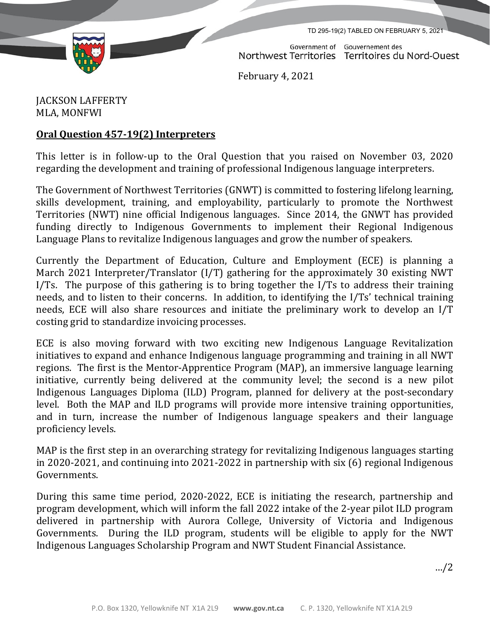TD 295-19(2) TABLED ON FEBRUARY 5, 2021

Government of Gouvernement des Northwest Territories Territoires du Nord-Ouest

February 4, 2021

## JACKSON LAFFERTY MLA, MONFWI

## **Oral Question 457-19(2) Interpreters**

This letter is in follow-up to the Oral Question that you raised on November 03, 2020 regarding the development and training of professional Indigenous language interpreters.

The Government of Northwest Territories (GNWT) is committed to fostering lifelong learning, skills development, training, and employability, particularly to promote the Northwest Territories (NWT) nine official Indigenous languages. Since 2014, the GNWT has provided funding directly to Indigenous Governments to implement their Regional Indigenous Language Plans to revitalize Indigenous languages and grow the number of speakers.

Currently the Department of Education, Culture and Employment (ECE) is planning a March 2021 Interpreter/Translator (I/T) gathering for the approximately 30 existing NWT I/Ts. The purpose of this gathering is to bring together the I/Ts to address their training needs, and to listen to their concerns. In addition, to identifying the I/Ts' technical training needs, ECE will also share resources and initiate the preliminary work to develop an I/T costing grid to standardize invoicing processes.

ECE is also moving forward with two exciting new Indigenous Language Revitalization initiatives to expand and enhance Indigenous language programming and training in all NWT regions. The first is the Mentor-Apprentice Program (MAP), an immersive language learning initiative, currently being delivered at the community level; the second is a new pilot Indigenous Languages Diploma (ILD) Program, planned for delivery at the post-secondary level. Both the MAP and ILD programs will provide more intensive training opportunities, and in turn, increase the number of Indigenous language speakers and their language proficiency levels.

MAP is the first step in an overarching strategy for revitalizing Indigenous languages starting in 2020-2021, and continuing into 2021-2022 in partnership with six (6) regional Indigenous Governments.

During this same time period, 2020-2022, ECE is initiating the research, partnership and program development, which will inform the fall 2022 intake of the 2-year pilot ILD program delivered in partnership with Aurora College, University of Victoria and Indigenous Governments. During the ILD program, students will be eligible to apply for the NWT Indigenous Languages Scholarship Program and NWT Student Financial Assistance.

…/2